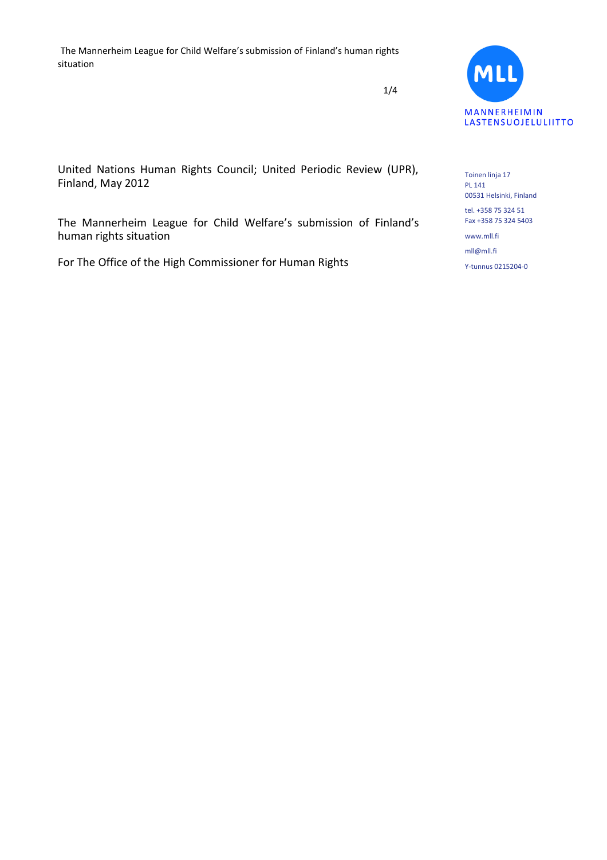1/4



United Nations Human Rights Council; United Periodic Review (UPR), Finland, May 2012

The Mannerheim League for Child Welfare's submission of Finland's human rights situation

For The Office of the High Commissioner for Human Rights

Toinen linja 17 PL 141 00531 Helsinki, Finland

tel. +358 75 324 51 Fax +358 75 324 5403

www.mll.fi mll@mll.fi Y-tunnus 0215204-0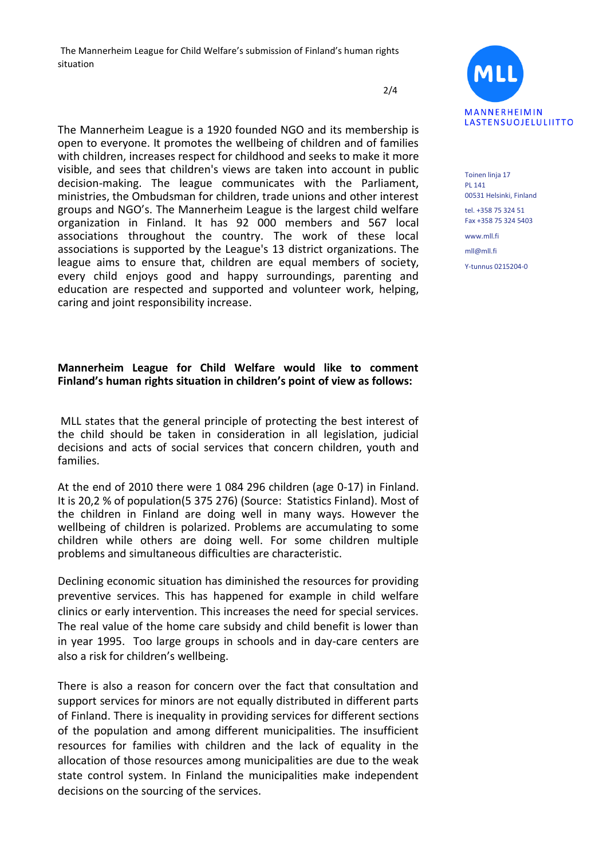2/4

The Mannerheim League is a 1920 founded NGO and its membership is open to everyone. It promotes the wellbeing of children and of families with children, increases respect for childhood and seeks to make it more visible, and sees that children's views are taken into account in public decision-making. The league communicates with the Parliament, ministries, the Ombudsman for children, trade unions and other interest groups and NGO's. The Mannerheim League is the largest child welfare organization in Finland. It has 92 000 members and 567 local associations throughout the country. The work of these local associations is supported by the League's 13 district organizations. The league aims to ensure that, children are equal members of society, every child enjoys good and happy surroundings, parenting and education are respected and supported and volunteer work, helping, caring and joint responsibility increase.

## **Mannerheim League for Child Welfare would like to comment Finland's human rights situation in children's point of view as follows:**

MLL states that the general principle of protecting the best interest of the child should be taken in consideration in all legislation, judicial decisions and acts of social services that concern children, youth and families.

At the end of 2010 there were 1 084 296 children (age 0-17) in Finland. It is 20,2 % of population(5 375 276) (Source: Statistics Finland). Most of the children in Finland are doing well in many ways. However the wellbeing of children is polarized. Problems are accumulating to some children while others are doing well. For some children multiple problems and simultaneous difficulties are characteristic.

Declining economic situation has diminished the resources for providing preventive services. This has happened for example in child welfare clinics or early intervention. This increases the need for special services. The real value of the home care subsidy and child benefit is lower than in year 1995. Too large groups in schools and in day-care centers are also a risk for children's wellbeing.

There is also a reason for concern over the fact that consultation and support services for minors are not equally distributed in different parts of Finland. There is inequality in providing services for different sections of the population and among different municipalities. The insufficient resources for families with children and the lack of equality in the allocation of those resources among municipalities are due to the weak state control system. In Finland the municipalities make independent decisions on the sourcing of the services.



Toinen linja 17 PL 141 00531 Helsinki, Finland

tel. +358 75 324 51 Fax +358 75 324 5403

www.mll.fi mll@mll.fi Y-tunnus 0215204-0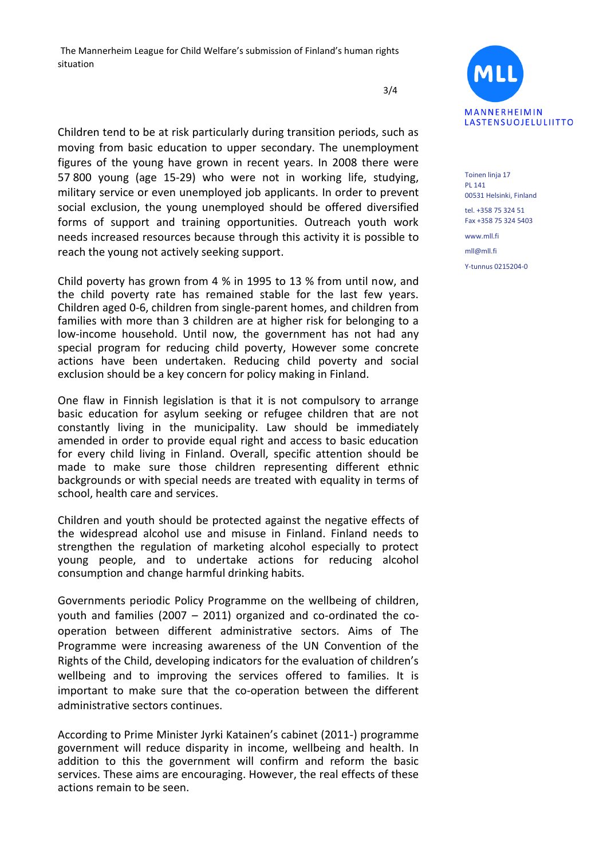3/4

Children tend to be at risk particularly during transition periods, such as moving from basic education to upper secondary. The unemployment figures of the young have grown in recent years. In 2008 there were 57 800 young (age 15-29) who were not in working life, studying, military service or even unemployed job applicants. In order to prevent social exclusion, the young unemployed should be offered diversified forms of support and training opportunities. Outreach youth work needs increased resources because through this activity it is possible to reach the young not actively seeking support.

Child poverty has grown from 4 % in 1995 to 13 % from until now, and the child poverty rate has remained stable for the last few years. Children aged 0-6, children from single-parent homes, and children from families with more than 3 children are at higher risk for belonging to a low-income household. Until now, the government has not had any special program for reducing child poverty, However some concrete actions have been undertaken. Reducing child poverty and social exclusion should be a key concern for policy making in Finland.

One flaw in Finnish legislation is that it is not compulsory to arrange basic education for asylum seeking or refugee children that are not constantly living in the municipality. Law should be immediately amended in order to provide equal right and access to basic education for every child living in Finland. Overall, specific attention should be made to make sure those children representing different ethnic backgrounds or with special needs are treated with equality in terms of school, health care and services.

Children and youth should be protected against the negative effects of the widespread alcohol use and misuse in Finland. Finland needs to strengthen the regulation of marketing alcohol especially to protect young people, and to undertake actions for reducing alcohol consumption and change harmful drinking habits.

Governments periodic Policy Programme on the wellbeing of children, youth and families (2007 – 2011) organized and co-ordinated the cooperation between different administrative sectors. Aims of The Programme were increasing awareness of the UN Convention of the Rights of the Child, developing indicators for the evaluation of children's wellbeing and to improving the services offered to families. It is important to make sure that the co-operation between the different administrative sectors continues.

According to Prime Minister Jyrki Katainen's cabinet (2011-) programme government will reduce disparity in income, wellbeing and health. In addition to this the government will confirm and reform the basic services. These aims are encouraging. However, the real effects of these actions remain to be seen.



Toinen linja 17 PL 141 00531 Helsinki, Finland

tel. +358 75 324 51 Fax +358 75 324 5403

www.mll.fi mll@mll.fi Y-tunnus 0215204-0